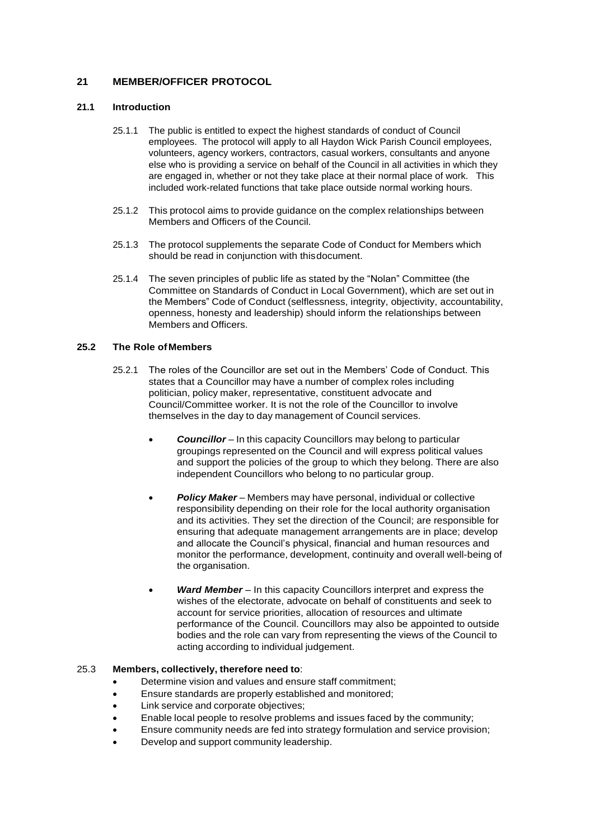# **21 MEMBER/OFFICER PROTOCOL**

## **21.1 Introduction**

- 25.1.1 The public is entitled to expect the highest standards of conduct of Council employees. The protocol will apply to all Haydon Wick Parish Council employees, volunteers, agency workers, contractors, casual workers, consultants and anyone else who is providing a service on behalf of the Council in all activities in which they are engaged in, whether or not they take place at their normal place of work. This included work-related functions that take place outside normal working hours.
- 25.1.2 This protocol aims to provide guidance on the complex relationships between Members and Officers of the Council.
- 25.1.3 The protocol supplements the separate Code of Conduct for Members which should be read in conjunction with thisdocument.
- 25.1.4 The seven principles of public life as stated by the "Nolan" Committee (the Committee on Standards of Conduct in Local Government), which are set out in the Members" Code of Conduct (selflessness, integrity, objectivity, accountability, openness, honesty and leadership) should inform the relationships between Members and Officers.

## **25.2 The Role ofMembers**

- 25.2.1 The roles of the Councillor are set out in the Members' Code of Conduct. This states that a Councillor may have a number of complex roles including politician, policy maker, representative, constituent advocate and Council/Committee worker. It is not the role of the Councillor to involve themselves in the day to day management of Council services.
	- *Councillor* In this capacity Councillors may belong to particular groupings represented on the Council and will express political values and support the policies of the group to which they belong. There are also independent Councillors who belong to no particular group.
	- *Policy Maker* Members may have personal, individual or collective responsibility depending on their role for the local authority organisation and its activities. They set the direction of the Council; are responsible for ensuring that adequate management arrangements are in place; develop and allocate the Council's physical, financial and human resources and monitor the performance, development, continuity and overall well-being of the organisation.
	- *Ward Member*  In this capacity Councillors interpret and express the wishes of the electorate, advocate on behalf of constituents and seek to account for service priorities, allocation of resources and ultimate performance of the Council. Councillors may also be appointed to outside bodies and the role can vary from representing the views of the Council to acting according to individual judgement.

### 25.3 **Members, collectively, therefore need to**:

- Determine vision and values and ensure staff commitment;
- Ensure standards are properly established and monitored;
- Link service and corporate objectives;
- Enable local people to resolve problems and issues faced by the community;
- Ensure community needs are fed into strategy formulation and service provision;
- Develop and support community leadership.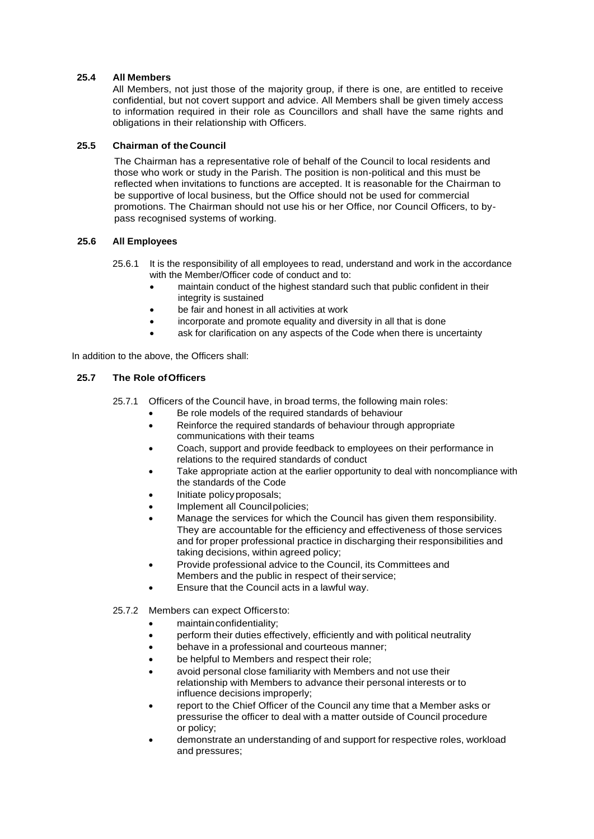## **25.4 All Members**

All Members, not just those of the majority group, if there is one, are entitled to receive confidential, but not covert support and advice. All Members shall be given timely access to information required in their role as Councillors and shall have the same rights and obligations in their relationship with Officers.

## **25.5 Chairman of theCouncil**

The Chairman has a representative role of behalf of the Council to local residents and those who work or study in the Parish. The position is non-political and this must be reflected when invitations to functions are accepted. It is reasonable for the Chairman to be supportive of local business, but the Office should not be used for commercial promotions. The Chairman should not use his or her Office, nor Council Officers, to bypass recognised systems of working.

## **25.6 All Employees**

- 25.6.1 It is the responsibility of all employees to read, understand and work in the accordance with the Member/Officer code of conduct and to:
	- maintain conduct of the highest standard such that public confident in their integrity is sustained
	- be fair and honest in all activities at work
	- incorporate and promote equality and diversity in all that is done
	- ask for clarification on any aspects of the Code when there is uncertainty

In addition to the above, the Officers shall:

## **25.7 The Role ofOfficers**

- 25.7.1 Officers of the Council have, in broad terms, the following main roles:
	- Be role models of the required standards of behaviour
	- Reinforce the required standards of behaviour through appropriate communications with their teams
	- Coach, support and provide feedback to employees on their performance in relations to the required standards of conduct
	- Take appropriate action at the earlier opportunity to deal with noncompliance with the standards of the Code
	- Initiate policyproposals;
	- Implement all Council policies:
	- Manage the services for which the Council has given them responsibility. They are accountable for the efficiency and effectiveness of those services and for proper professional practice in discharging their responsibilities and taking decisions, within agreed policy;
	- Provide professional advice to the Council, its Committees and Members and the public in respect of their service;
	- Ensure that the Council acts in a lawful way.
- 25.7.2 Members can expect Officersto:
	- maintainconfidentiality;
	- perform their duties effectively, efficiently and with political neutrality
	- behave in a professional and courteous manner:
	- be helpful to Members and respect their role;
	- avoid personal close familiarity with Members and not use their relationship with Members to advance their personal interests or to influence decisions improperly;
	- report to the Chief Officer of the Council any time that a Member asks or pressurise the officer to deal with a matter outside of Council procedure or policy;
	- demonstrate an understanding of and support for respective roles, workload and pressures;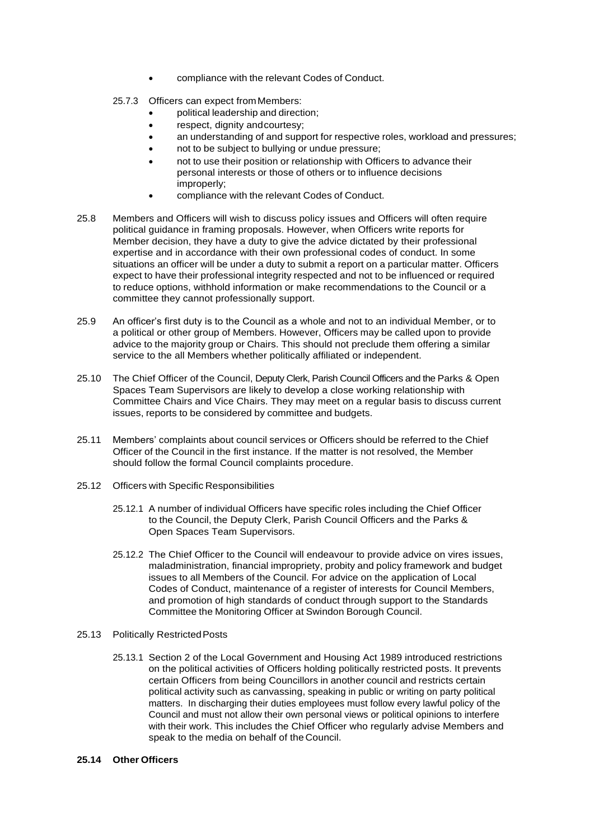- compliance with the relevant Codes of Conduct.
- 25.7.3 Officers can expect from Members:
	- political leadership and direction;
	- respect, dignity and courtesy;
	- an understanding of and support for respective roles, workload and pressures;
	- not to be subject to bullying or undue pressure;
	- not to use their position or relationship with Officers to advance their personal interests or those of others or to influence decisions improperly;
	- compliance with the relevant Codes of Conduct.
- 25.8 Members and Officers will wish to discuss policy issues and Officers will often require political guidance in framing proposals. However, when Officers write reports for Member decision, they have a duty to give the advice dictated by their professional expertise and in accordance with their own professional codes of conduct. In some situations an officer will be under a duty to submit a report on a particular matter. Officers expect to have their professional integrity respected and not to be influenced or required to reduce options, withhold information or make recommendations to the Council or a committee they cannot professionally support.
- 25.9 An officer's first duty is to the Council as a whole and not to an individual Member, or to a political or other group of Members. However, Officers may be called upon to provide advice to the majority group or Chairs. This should not preclude them offering a similar service to the all Members whether politically affiliated or independent.
- 25.10 The Chief Officer of the Council, Deputy Clerk, Parish Council Officers and the Parks & Open Spaces Team Supervisors are likely to develop a close working relationship with Committee Chairs and Vice Chairs. They may meet on a regular basis to discuss current issues, reports to be considered by committee and budgets.
- 25.11 Members' complaints about council services or Officers should be referred to the Chief Officer of the Council in the first instance. If the matter is not resolved, the Member should follow the formal Council complaints procedure.
- 25.12 Officers with Specific Responsibilities
	- 25.12.1 A number of individual Officers have specific roles including the Chief Officer to the Council, the Deputy Clerk, Parish Council Officers and the Parks & Open Spaces Team Supervisors.
	- 25.12.2 The Chief Officer to the Council will endeavour to provide advice on vires issues, maladministration, financial impropriety, probity and policy framework and budget issues to all Members of the Council. For advice on the application of Local Codes of Conduct, maintenance of a register of interests for Council Members, and promotion of high standards of conduct through support to the Standards Committee the Monitoring Officer at Swindon Borough Council.
- 25.13 Politically RestrictedPosts
	- 25.13.1 Section 2 of the Local Government and Housing Act 1989 introduced restrictions on the political activities of Officers holding politically restricted posts. It prevents certain Officers from being Councillors in another council and restricts certain political activity such as canvassing, speaking in public or writing on party political matters. In discharging their duties employees must follow every lawful policy of the Council and must not allow their own personal views or political opinions to interfere with their work. This includes the Chief Officer who regularly advise Members and speak to the media on behalf of the Council.

## **25.14 Other Officers**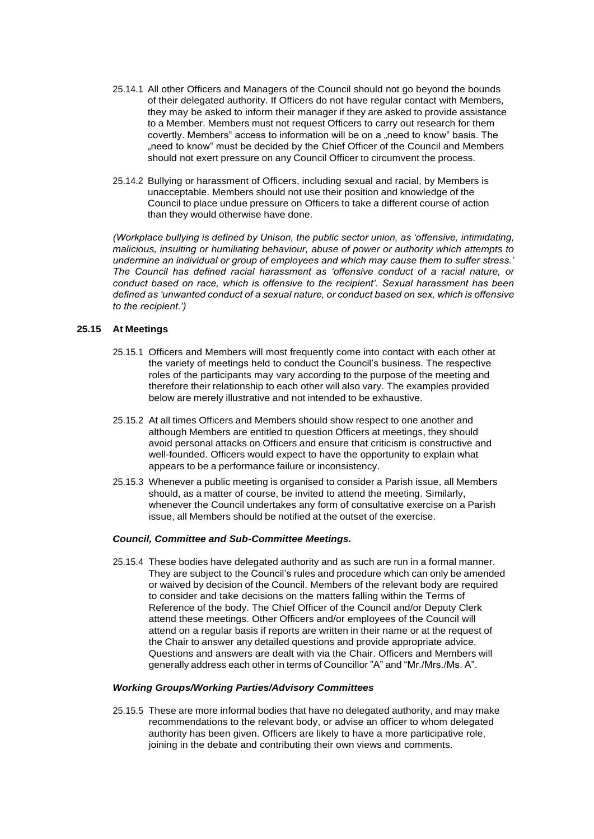- 25.14.1 All other Officers and Managers of the Council should not go beyond the bounds of their delegated authority. If Officers do not have regular contact with Members, they may be asked to inform their manager if they are asked to provide assistance to a Member. Members must not request Officers to carry out research for them covertly. Members" access to information will be on a "need to know" basis. The "need to know" must be decided by the Chief Officer of the Council and Members should not exert pressure on any Council Officer to circumvent the process.
- 25.14.2 Bullying or harassment of Officers, including sexual and racial, by Members is unacceptable. Members should not use their position and knowledge of the Council to place undue pressure on Officers to take a different course of action than they would otherwise have done.

*(Workplace bullying is defined by Unison, the public sector union, as 'offensive, intimidating, malicious, insulting or humiliating behaviour, abuse of power or authority which attempts to undermine an individual or group of employees and which may cause them to suffer stress.' The Council has defined racial harassment as 'offensive conduct of a racial nature, or conduct based on race, which is offensive to the recipient'. Sexual harassment has been defined as 'unwanted conduct of a sexual nature, or conduct based on sex, which is offensive to the recipient.')*

## **25.15 At Meetings**

- 25.15.1 Officers and Members will most frequently come into contact with each other at the variety of meetings held to conduct the Council's business. The respective roles of the participants may vary according to the purpose of the meeting and therefore their relationship to each other will also vary. The examples provided below are merely illustrative and not intended to be exhaustive.
- 25.15.2 At all times Officers and Members should show respect to one another and although Members are entitled to question Officers at meetings, they should avoid personal attacks on Officers and ensure that criticism is constructive and well-founded. Officers would expect to have the opportunity to explain what appears to be a performance failure or inconsistency.
- 25.15.3 Whenever a public meeting is organised to consider a Parish issue, all Members should, as a matter of course, be invited to attend the meeting. Similarly, whenever the Council undertakes any form of consultative exercise on a Parish issue, all Members should be notified at the outset of the exercise.

#### *Council, Committee and Sub-Committee Meetings.*

25.15.4 These bodies have delegated authority and as such are run in a formal manner. They are subject to the Council's rules and procedure which can only be amended or waived by decision of the Council. Members of the relevant body are required to consider and take decisions on the matters falling within the Terms of Reference of the body. The Chief Officer of the Council and/or Deputy Clerk attend these meetings. Other Officers and/or employees of the Council will attend on a regular basis if reports are written in their name or at the request of the Chair to answer any detailed questions and provide appropriate advice. Questions and answers are dealt with via the Chair. Officers and Members will generally address each other in terms of Councillor "A" and "Mr./Mrs./Ms. A".

#### *Working Groups/Working Parties/Advisory Committees*

25.15.5 These are more informal bodies that have no delegated authority, and may make recommendations to the relevant body, or advise an officer to whom delegated authority has been given. Officers are likely to have a more participative role, joining in the debate and contributing their own views and comments.